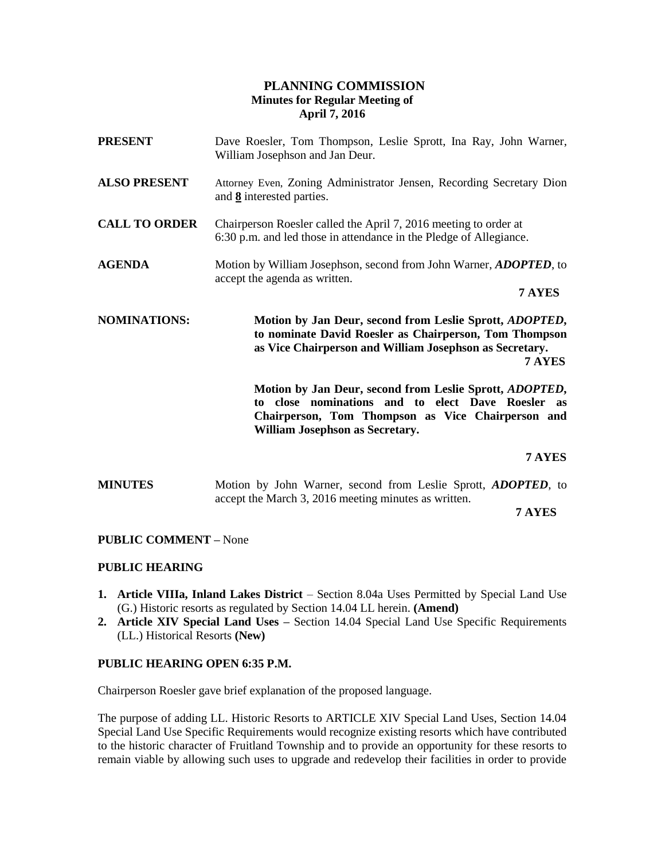### **PLANNING COMMISSION Minutes for Regular Meeting of April 7, 2016**

| <b>PRESENT</b>       | Dave Roesler, Tom Thompson, Leslie Sprott, Ina Ray, John Warner,<br>William Josephson and Jan Deur.                                                                                                                    |
|----------------------|------------------------------------------------------------------------------------------------------------------------------------------------------------------------------------------------------------------------|
| <b>ALSO PRESENT</b>  | Attorney Even, Zoning Administrator Jensen, Recording Secretary Dion<br>and 8 interested parties.                                                                                                                      |
| <b>CALL TO ORDER</b> | Chairperson Roesler called the April 7, 2016 meeting to order at<br>6:30 p.m. and led those in attendance in the Pledge of Allegiance.                                                                                 |
| <b>AGENDA</b>        | Motion by William Josephson, second from John Warner, ADOPTED, to<br>accept the agenda as written.<br>7 AYES                                                                                                           |
| <b>NOMINATIONS:</b>  | Motion by Jan Deur, second from Leslie Sprott, <i>ADOPTED</i> ,<br>to nominate David Roesler as Chairperson, Tom Thompson<br>as Vice Chairperson and William Josephson as Secretary.<br>7 AYES                         |
|                      | Motion by Jan Deur, second from Leslie Sprott, <i>ADOPTED</i> ,<br>to close nominations and to elect Dave Roesler<br>as<br>Chairperson, Tom Thompson as Vice Chairperson and<br><b>William Josephson as Secretary.</b> |
|                      | <b>7 AYES</b>                                                                                                                                                                                                          |

**MINUTES** Motion by John Warner, second from Leslie Sprott, *ADOPTED*, to accept the March 3, 2016 meeting minutes as written.

**7 AYES**

#### **PUBLIC COMMENT –** None

#### **PUBLIC HEARING**

- **1. Article VIIIa, Inland Lakes District** Section 8.04a Uses Permitted by Special Land Use (G.) Historic resorts as regulated by Section 14.04 LL herein. **(Amend)**
- **2. Article XIV Special Land Uses –** Section 14.04 Special Land Use Specific Requirements (LL.) Historical Resorts **(New)**

#### **PUBLIC HEARING OPEN 6:35 P.M.**

Chairperson Roesler gave brief explanation of the proposed language.

The purpose of adding LL. Historic Resorts to ARTICLE XIV Special Land Uses, Section 14.04 Special Land Use Specific Requirements would recognize existing resorts which have contributed to the historic character of Fruitland Township and to provide an opportunity for these resorts to remain viable by allowing such uses to upgrade and redevelop their facilities in order to provide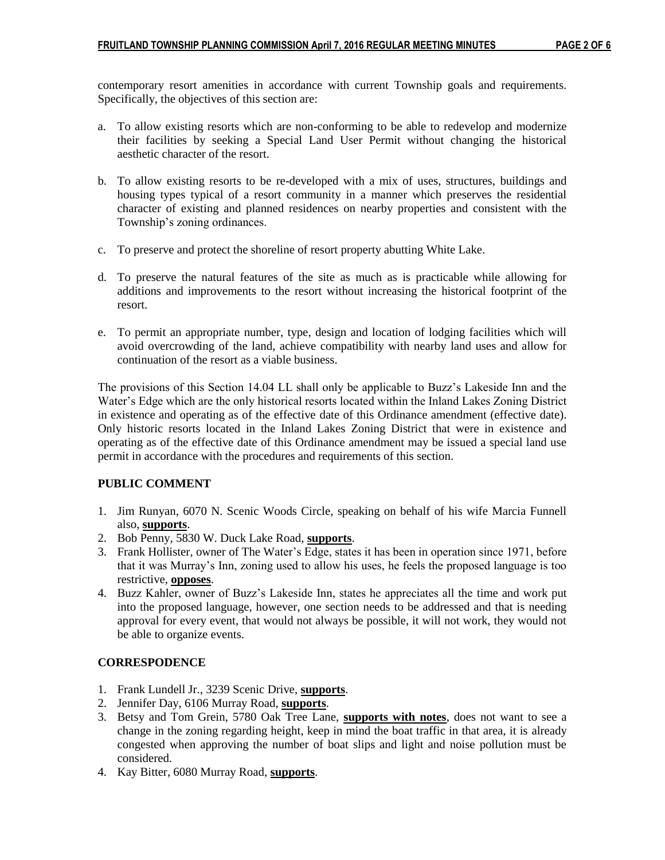contemporary resort amenities in accordance with current Township goals and requirements. Specifically, the objectives of this section are:

- a. To allow existing resorts which are non-conforming to be able to redevelop and modernize their facilities by seeking a Special Land User Permit without changing the historical aesthetic character of the resort.
- b. To allow existing resorts to be re-developed with a mix of uses, structures, buildings and housing types typical of a resort community in a manner which preserves the residential character of existing and planned residences on nearby properties and consistent with the Township's zoning ordinances.
- c. To preserve and protect the shoreline of resort property abutting White Lake.
- d. To preserve the natural features of the site as much as is practicable while allowing for additions and improvements to the resort without increasing the historical footprint of the resort.
- e. To permit an appropriate number, type, design and location of lodging facilities which will avoid overcrowding of the land, achieve compatibility with nearby land uses and allow for continuation of the resort as a viable business.

The provisions of this Section 14.04 LL shall only be applicable to Buzz's Lakeside Inn and the Water's Edge which are the only historical resorts located within the Inland Lakes Zoning District in existence and operating as of the effective date of this Ordinance amendment (effective date). Only historic resorts located in the Inland Lakes Zoning District that were in existence and operating as of the effective date of this Ordinance amendment may be issued a special land use permit in accordance with the procedures and requirements of this section.

# **PUBLIC COMMENT**

- 1. Jim Runyan, 6070 N. Scenic Woods Circle, speaking on behalf of his wife Marcia Funnell also, **supports**.
- 2. Bob Penny, 5830 W. Duck Lake Road, **supports**.
- 3. Frank Hollister, owner of The Water's Edge, states it has been in operation since 1971, before that it was Murray's Inn, zoning used to allow his uses, he feels the proposed language is too restrictive, **opposes**.
- 4. Buzz Kahler, owner of Buzz's Lakeside Inn, states he appreciates all the time and work put into the proposed language, however, one section needs to be addressed and that is needing approval for every event, that would not always be possible, it will not work, they would not be able to organize events.

# **CORRESPODENCE**

- 1. Frank Lundell Jr., 3239 Scenic Drive, **supports**.
- 2. Jennifer Day, 6106 Murray Road, **supports**.
- 3. Betsy and Tom Grein, 5780 Oak Tree Lane, **supports with notes**, does not want to see a change in the zoning regarding height, keep in mind the boat traffic in that area, it is already congested when approving the number of boat slips and light and noise pollution must be considered.
- 4. Kay Bitter, 6080 Murray Road, **supports**.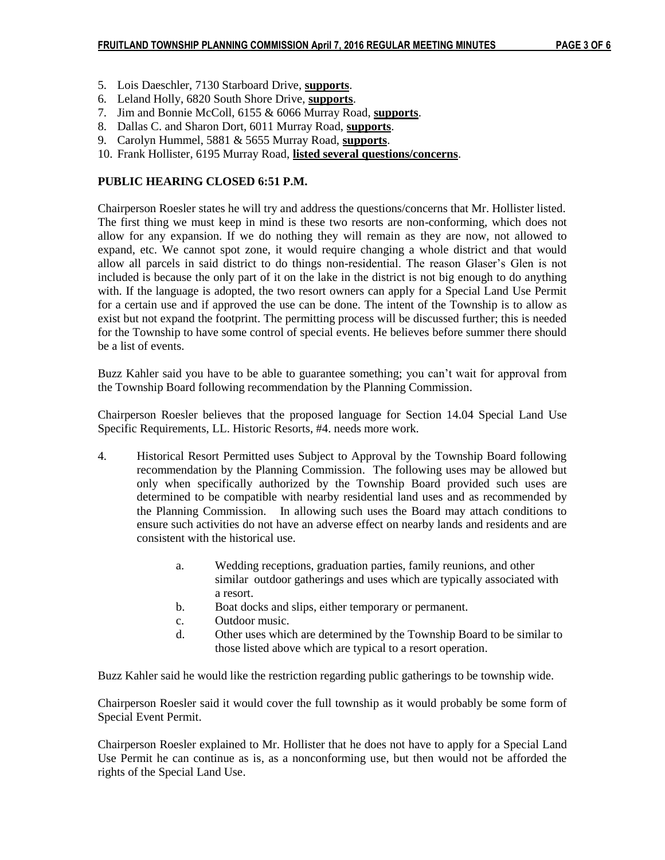- 5. Lois Daeschler, 7130 Starboard Drive, **supports**.
- 6. Leland Holly, 6820 South Shore Drive, **supports**.
- 7. Jim and Bonnie McColl, 6155 & 6066 Murray Road, **supports**.
- 8. Dallas C. and Sharon Dort, 6011 Murray Road, **supports**.
- 9. Carolyn Hummel, 5881 & 5655 Murray Road, **supports**.
- 10. Frank Hollister, 6195 Murray Road, **listed several questions/concerns**.

#### **PUBLIC HEARING CLOSED 6:51 P.M.**

Chairperson Roesler states he will try and address the questions/concerns that Mr. Hollister listed. The first thing we must keep in mind is these two resorts are non-conforming, which does not allow for any expansion. If we do nothing they will remain as they are now, not allowed to expand, etc. We cannot spot zone, it would require changing a whole district and that would allow all parcels in said district to do things non-residential. The reason Glaser's Glen is not included is because the only part of it on the lake in the district is not big enough to do anything with. If the language is adopted, the two resort owners can apply for a Special Land Use Permit for a certain use and if approved the use can be done. The intent of the Township is to allow as exist but not expand the footprint. The permitting process will be discussed further; this is needed for the Township to have some control of special events. He believes before summer there should be a list of events.

Buzz Kahler said you have to be able to guarantee something; you can't wait for approval from the Township Board following recommendation by the Planning Commission.

Chairperson Roesler believes that the proposed language for Section 14.04 Special Land Use Specific Requirements, LL. Historic Resorts, #4. needs more work.

- 4. Historical Resort Permitted uses Subject to Approval by the Township Board following recommendation by the Planning Commission. The following uses may be allowed but only when specifically authorized by the Township Board provided such uses are determined to be compatible with nearby residential land uses and as recommended by the Planning Commission. In allowing such uses the Board may attach conditions to ensure such activities do not have an adverse effect on nearby lands and residents and are consistent with the historical use.
	- a. Wedding receptions, graduation parties, family reunions, and other similar outdoor gatherings and uses which are typically associated with a resort.
	- b. Boat docks and slips, either temporary or permanent.
	- c. Outdoor music.
	- d. Other uses which are determined by the Township Board to be similar to those listed above which are typical to a resort operation.

Buzz Kahler said he would like the restriction regarding public gatherings to be township wide.

Chairperson Roesler said it would cover the full township as it would probably be some form of Special Event Permit.

Chairperson Roesler explained to Mr. Hollister that he does not have to apply for a Special Land Use Permit he can continue as is, as a nonconforming use, but then would not be afforded the rights of the Special Land Use.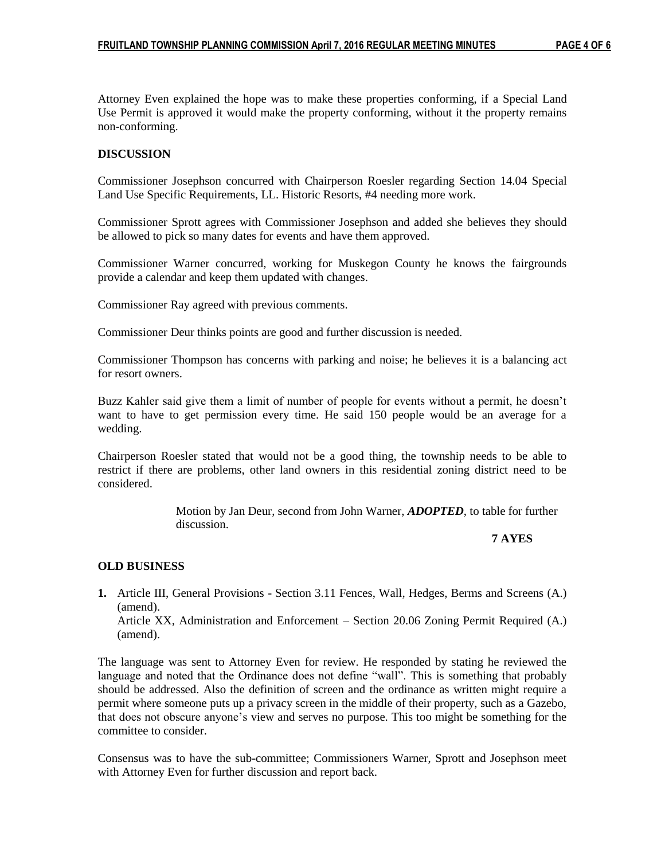Attorney Even explained the hope was to make these properties conforming, if a Special Land Use Permit is approved it would make the property conforming, without it the property remains non-conforming.

#### **DISCUSSION**

Commissioner Josephson concurred with Chairperson Roesler regarding Section 14.04 Special Land Use Specific Requirements, LL. Historic Resorts, #4 needing more work.

Commissioner Sprott agrees with Commissioner Josephson and added she believes they should be allowed to pick so many dates for events and have them approved.

Commissioner Warner concurred, working for Muskegon County he knows the fairgrounds provide a calendar and keep them updated with changes.

Commissioner Ray agreed with previous comments.

Commissioner Deur thinks points are good and further discussion is needed.

Commissioner Thompson has concerns with parking and noise; he believes it is a balancing act for resort owners.

Buzz Kahler said give them a limit of number of people for events without a permit, he doesn't want to have to get permission every time. He said 150 people would be an average for a wedding.

Chairperson Roesler stated that would not be a good thing, the township needs to be able to restrict if there are problems, other land owners in this residential zoning district need to be considered.

> Motion by Jan Deur, second from John Warner, *ADOPTED*, to table for further discussion.

#### **7 AYES**

#### **OLD BUSINESS**

**1.** Article III, General Provisions - Section 3.11 Fences, Wall, Hedges, Berms and Screens (A.) (amend).

Article XX, Administration and Enforcement – Section 20.06 Zoning Permit Required (A.) (amend).

The language was sent to Attorney Even for review. He responded by stating he reviewed the language and noted that the Ordinance does not define "wall". This is something that probably should be addressed. Also the definition of screen and the ordinance as written might require a permit where someone puts up a privacy screen in the middle of their property, such as a Gazebo, that does not obscure anyone's view and serves no purpose. This too might be something for the committee to consider.

Consensus was to have the sub-committee; Commissioners Warner, Sprott and Josephson meet with Attorney Even for further discussion and report back.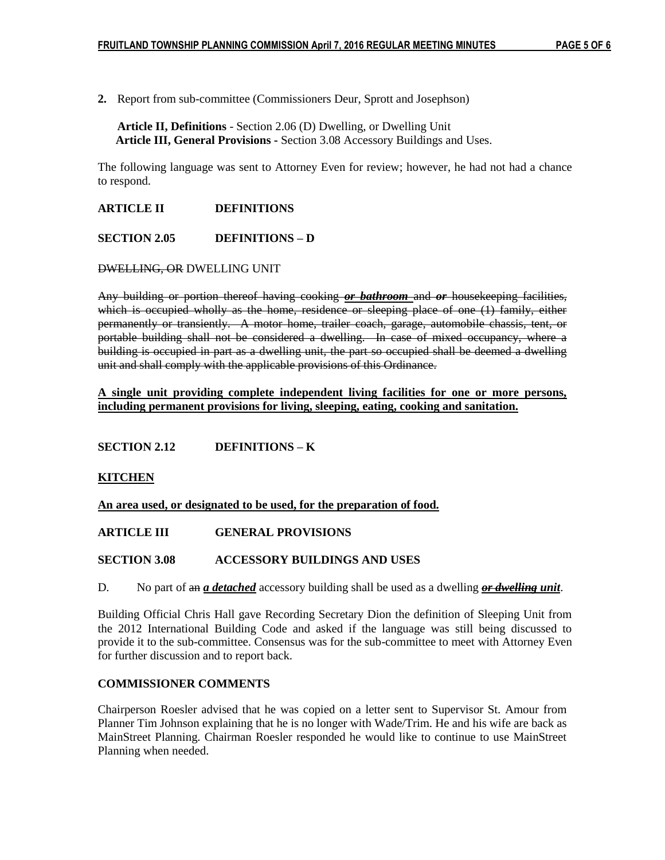**2.** Report from sub-committee (Commissioners Deur, Sprott and Josephson)

**Article II, Definitions** - Section 2.06 (D) Dwelling, or Dwelling Unit **Article III, General Provisions -** Section 3.08 Accessory Buildings and Uses.

The following language was sent to Attorney Even for review; however, he had not had a chance to respond.

### **ARTICLE II DEFINITIONS**

**SECTION 2.05 DEFINITIONS – D**

#### DWELLING, OR DWELLING UNIT

Any building or portion thereof having cooking *or bathroom* and *or* housekeeping facilities, which is occupied wholly as the home, residence or sleeping place of one (1) family, either permanently or transiently. A motor home, trailer coach, garage, automobile chassis, tent, or portable building shall not be considered a dwelling. In case of mixed occupancy, where a building is occupied in part as a dwelling unit, the part so occupied shall be deemed a dwelling unit and shall comply with the applicable provisions of this Ordinance.

**A single unit providing complete independent living facilities for one or more persons, including permanent provisions for living, sleeping, eating, cooking and sanitation.**

#### **SECTION 2.12 DEFINITIONS – K**

#### **KITCHEN**

**An area used, or designated to be used, for the preparation of food.**

#### **ARTICLE III GENERAL PROVISIONS**

**SECTION 3.08 ACCESSORY BUILDINGS AND USES**

D. No part of an *a detached* accessory building shall be used as a dwelling *or dwelling unit*.

Building Official Chris Hall gave Recording Secretary Dion the definition of Sleeping Unit from the 2012 International Building Code and asked if the language was still being discussed to provide it to the sub-committee. Consensus was for the sub-committee to meet with Attorney Even for further discussion and to report back.

#### **COMMISSIONER COMMENTS**

Chairperson Roesler advised that he was copied on a letter sent to Supervisor St. Amour from Planner Tim Johnson explaining that he is no longer with Wade/Trim. He and his wife are back as MainStreet Planning. Chairman Roesler responded he would like to continue to use MainStreet Planning when needed.